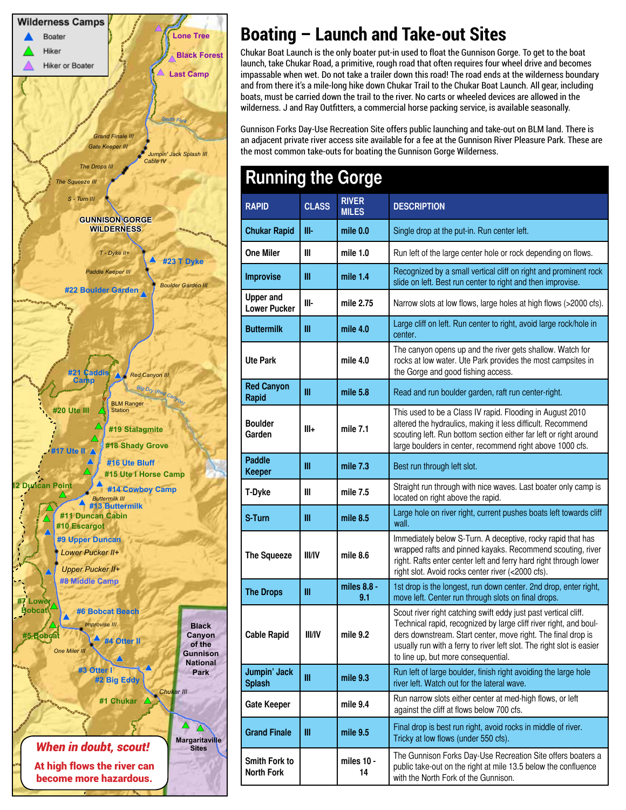

# **Boating – Launch and Take-out Sites**

Chukar Boat Launch is the only boater put-in used to float the Gunnison Gorge. To get to the boat launch, take Chukar Road, a primitive, rough road that often requires four wheel drive and becomes impassable when wet. Do not take a trailer down this road! The road ends at the wilderness boundary and from there it's a mile-long hike down Chukar Trail to the Chukar Boat Launch. All gear, including boats, must be carried down the trail to the river. No carts or wheeled devices are allowed in the wilderness. J and Ray Outfitters, a commercial horse packing service, is available seasonally.

Gunnison Forks Day-Use Recreation Site offers public launching and take-out on BLM land. There is an adjacent private river access site available for a fee at the Gunnison River Pleasure Park. These are the most common take-outs for boating the Gunnison Gorge Wilderness.

| <b>Running the Gorge</b>                  |               |                              |                                                                                                                                                                                                                                                                                                                      |
|-------------------------------------------|---------------|------------------------------|----------------------------------------------------------------------------------------------------------------------------------------------------------------------------------------------------------------------------------------------------------------------------------------------------------------------|
| <b>RAPID</b>                              | <b>CLASS</b>  | <b>RIVER</b><br><b>MILES</b> | <b>DESCRIPTION</b>                                                                                                                                                                                                                                                                                                   |
| <b>Chukar Rapid</b>                       | III-          | mile 0.0                     | Single drop at the put-in. Run center left.                                                                                                                                                                                                                                                                          |
| <b>One Miler</b>                          | Ш             | mile $1.0$                   | Run left of the large center hole or rock depending on flows.                                                                                                                                                                                                                                                        |
| <b>Improvise</b>                          | Ш             | mile $1.4$                   | Recognized by a small vertical cliff on right and prominent rock<br>slide on left. Best run center to right and then improvise.                                                                                                                                                                                      |
| <b>Upper and</b><br><b>Lower Pucker</b>   | III-          | mile 2.75                    | Narrow slots at low flows, large holes at high flows (>2000 cfs).                                                                                                                                                                                                                                                    |
| <b>Buttermilk</b>                         | Ш             | mile $4.0$                   | Large cliff on left. Run center to right, avoid large rock/hole in<br>center.                                                                                                                                                                                                                                        |
| <b>Ute Park</b>                           |               | mile 4.0                     | The canyon opens up and the river gets shallow. Watch for<br>rocks at low water. Ute Park provides the most campsites in<br>the Gorge and good fishing access.                                                                                                                                                       |
| <b>Red Canyon</b><br><b>Rapid</b>         | Ш             | mile $5.8$                   | Read and run boulder garden, raft run center-right.                                                                                                                                                                                                                                                                  |
| <b>Boulder</b><br>Garden                  | Ш÷            | mile 7.1                     | This used to be a Class IV rapid. Flooding in August 2010<br>altered the hydraulics, making it less difficult. Recommend<br>scouting left. Run bottom section either far left or right around<br>large boulders in center, recommend right above 1000 cfs.                                                           |
| <b>Paddle</b><br><b>Keeper</b>            | Ш             | mile 7.3                     | Best run through left slot.                                                                                                                                                                                                                                                                                          |
| T-Dyke                                    | Ш             | mile 7.5                     | Straight run through with nice waves. Last boater only camp is<br>located on right above the rapid.                                                                                                                                                                                                                  |
| S-Turn                                    | Ш             | mile $8.5$                   | Large hole on river right, current pushes boats left towards cliff<br>wall.                                                                                                                                                                                                                                          |
| The Squeeze                               | <b>III/IV</b> | mile 8.6                     | Immediately below S-Turn. A deceptive, rocky rapid that has<br>wrapped rafts and pinned kayaks. Recommend scouting, river<br>right. Rafts enter center left and ferry hard right through lower<br>right slot. Avoid rocks center river (<2000 cfs).                                                                  |
| <b>The Drops</b>                          | Ш             | miles 8.8 -<br>9.1           | 1st drop is the longest, run down center. 2nd drop, enter right,<br>move left. Center run through slots on final drops.                                                                                                                                                                                              |
| <b>Cable Rapid</b>                        | <b>III/IV</b> | mile 9.2                     | Scout river right catching swift eddy just past vertical cliff.<br>Technical rapid, recognized by large cliff river right, and boul-<br>ders downstream. Start center, move right. The final drop is<br>usually run with a ferry to river left slot. The right slot is easier<br>to line up, but more consequential. |
| Jumpin' Jack<br><b>Splash</b>             | Ш             | mile 9.3                     | Run left of large boulder, finish right avoiding the large hole<br>river left. Watch out for the lateral wave.                                                                                                                                                                                                       |
| <b>Gate Keeper</b>                        |               | mile 9.4                     | Run narrow slots either center at med-high flows, or left<br>against the cliff at flows below 700 cfs.                                                                                                                                                                                                               |
| <b>Grand Finale</b>                       | Ш             | mile 9.5                     | Final drop is best run right, avoid rocks in middle of river.<br>Tricky at low flows (under 550 cfs).                                                                                                                                                                                                                |
| <b>Smith Fork to</b><br><b>North Fork</b> |               | miles 10 -<br>14             | The Gunnison Forks Day-Use Recreation Site offers boaters a<br>public take-out on the right at mile 13.5 below the confluence<br>with the North Fork of the Gunnison.                                                                                                                                                |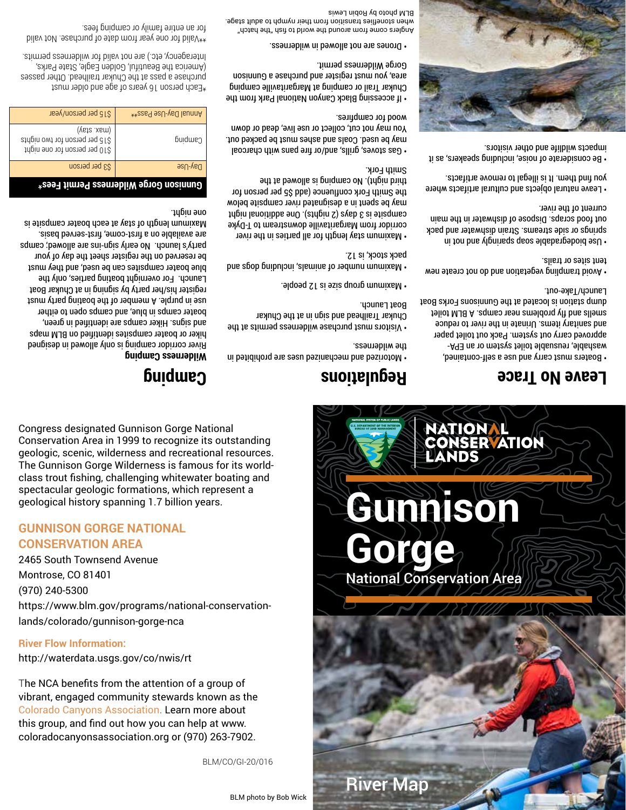Congress designated Gunnison Gorge National Conservation Area in 1999 to recognize its outstanding geologic, scenic, wilderness and recreational resources. The Gunnison Gorge Wilderness is famous for its worldclass trout fishing, challenging whitewater boating and spectacular geologic formations, which represent a geological history spanning 1.7 billion years.

#### **GUNNISON GORGE NATIONAL CONSERVATION AREA**

2465 South Townsend Avenue Montrose, CO 81401 (970) 240-5300 https://www.blm.gov/programs/national-conservationlands/colorado/gunnison-gorge-nca

#### **River Flow Information:**

http://waterdata.usgs.gov/co/nwis/rt

The NCA benefits from the attention of a group of vibrant, engaged community stewards known as the Colorado Canyons Association. Learn more about this group, and find out how you can help at www. coloradocanyonsassociation.org or (970) 263-7902.

BLM/CO/GI-20/016

BLM photo by Bob Wick

**Gunnison**

NATIONA

**PANDS** 

**CONSERVATION** 

National Conservation Area

**Gorge**

River Map